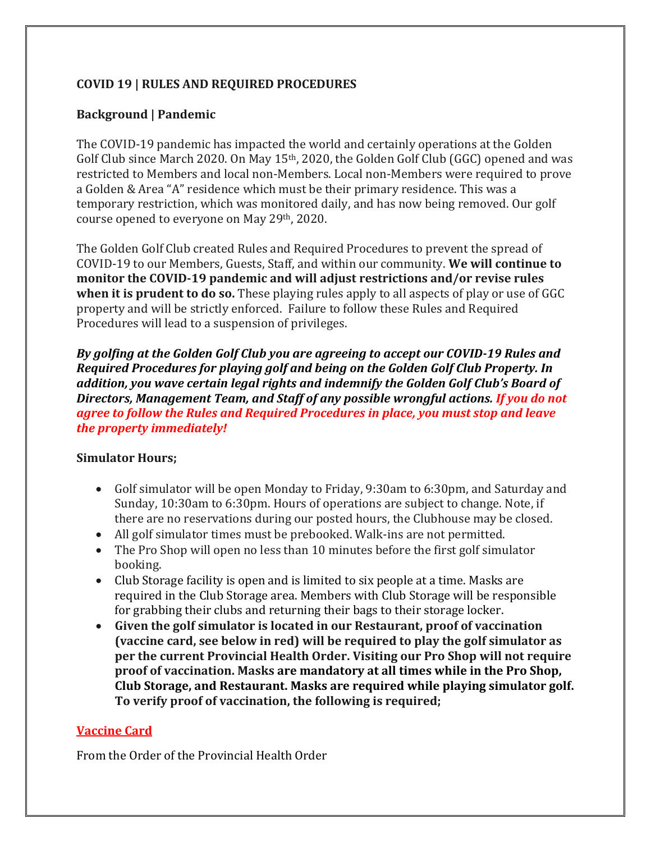### **COVID 19 | RULES AND REQUIRED PROCEDURES**

### **Background | Pandemic**

The COVID-19 pandemic has impacted the world and certainly operations at the Golden Golf Club since March 2020. On May 15th, 2020, the Golden Golf Club (GGC) opened and was restricted to Members and local non-Members. Local non-Members were required to prove a Golden & Area "A" residence which must be their primary residence. This was a temporary restriction, which was monitored daily, and has now being removed. Our golf course opened to everyone on May 29th, 2020.

The Golden Golf Club created Rules and Required Procedures to prevent the spread of COVID-19 to our Members, Guests, Staff, and within our community. **We will continue to monitor the COVID-19 pandemic and will adjust restrictions and/or revise rules when it is prudent to do so.** These playing rules apply to all aspects of play or use of GGC property and will be strictly enforced. Failure to follow these Rules and Required Procedures will lead to a suspension of privileges.

*By golfing at the Golden Golf Club you are agreeing to accept our COVID-19 Rules and Required Procedures for playing golf and being on the Golden Golf Club Property. In addition, you wave certain legal rights and indemnify the Golden Golf Club's Board of Directors, Management Team, and Staff of any possible wrongful actions. If you do not agree to follow the Rules and Required Procedures in place, you must stop and leave the property immediately!* 

#### **Simulator Hours;**

- Golf simulator will be open Monday to Friday, 9:30am to 6:30pm, and Saturday and Sunday, 10:30am to 6:30pm. Hours of operations are subject to change. Note, if there are no reservations during our posted hours, the Clubhouse may be closed.
- All golf simulator times must be prebooked. Walk-ins are not permitted.
- The Pro Shop will open no less than 10 minutes before the first golf simulator booking.
- Club Storage facility is open and is limited to six people at a time. Masks are required in the Club Storage area. Members with Club Storage will be responsible for grabbing their clubs and returning their bags to their storage locker.
- **Given the golf simulator is located in our Restaurant, proof of vaccination (vaccine card, see below in red) will be required to play the golf simulator as per the current Provincial Health Order. Visiting our Pro Shop will not require proof of vaccination. Masks are mandatory at all times while in the Pro Shop, Club Storage, and Restaurant. Masks are required while playing simulator golf. To verify proof of vaccination, the following is required;**

#### **Vaccine Card**

From the Order of the Provincial Health Order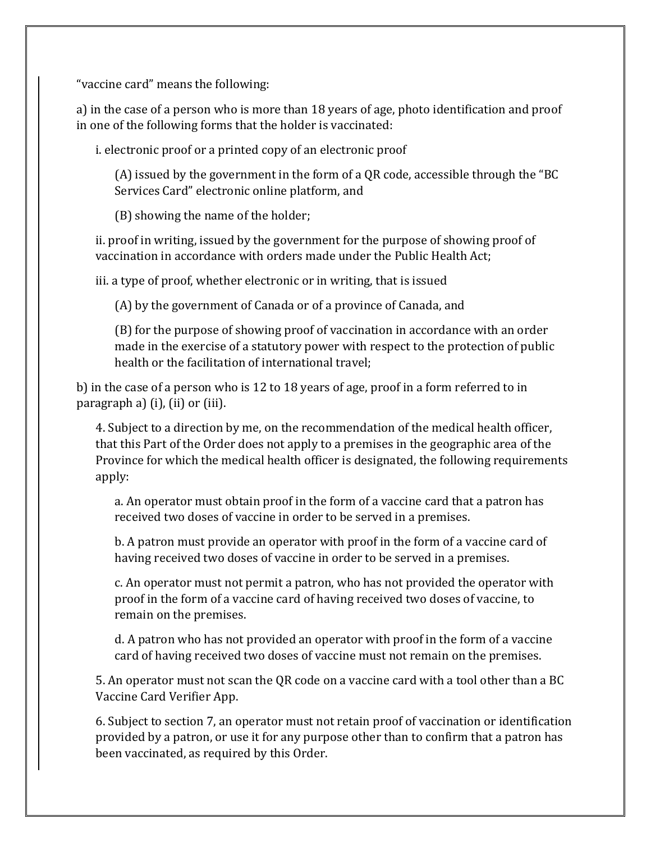"vaccine card" means the following:

a) in the case of a person who is more than 18 years of age, photo identification and proof in one of the following forms that the holder is vaccinated:

i. electronic proof or a printed copy of an electronic proof

(A) issued by the government in the form of a QR code, accessible through the "BC Services Card" electronic online platform, and

(B) showing the name of the holder;

ii. proof in writing, issued by the government for the purpose of showing proof of vaccination in accordance with orders made under the Public Health Act;

iii. a type of proof, whether electronic or in writing, that is issued

(A) by the government of Canada or of a province of Canada, and

(B) for the purpose of showing proof of vaccination in accordance with an order made in the exercise of a statutory power with respect to the protection of public health or the facilitation of international travel;

b) in the case of a person who is 12 to 18 years of age, proof in a form referred to in paragraph a) (i), (ii) or (iii).

4. Subject to a direction by me, on the recommendation of the medical health officer, that this Part of the Order does not apply to a premises in the geographic area of the Province for which the medical health officer is designated, the following requirements apply:

a. An operator must obtain proof in the form of a vaccine card that a patron has received two doses of vaccine in order to be served in a premises.

b. A patron must provide an operator with proof in the form of a vaccine card of having received two doses of vaccine in order to be served in a premises.

c. An operator must not permit a patron, who has not provided the operator with proof in the form of a vaccine card of having received two doses of vaccine, to remain on the premises.

d. A patron who has not provided an operator with proof in the form of a vaccine card of having received two doses of vaccine must not remain on the premises.

5. An operator must not scan the QR code on a vaccine card with a tool other than a BC Vaccine Card Verifier App.

6. Subject to section 7, an operator must not retain proof of vaccination or identification provided by a patron, or use it for any purpose other than to confirm that a patron has been vaccinated, as required by this Order.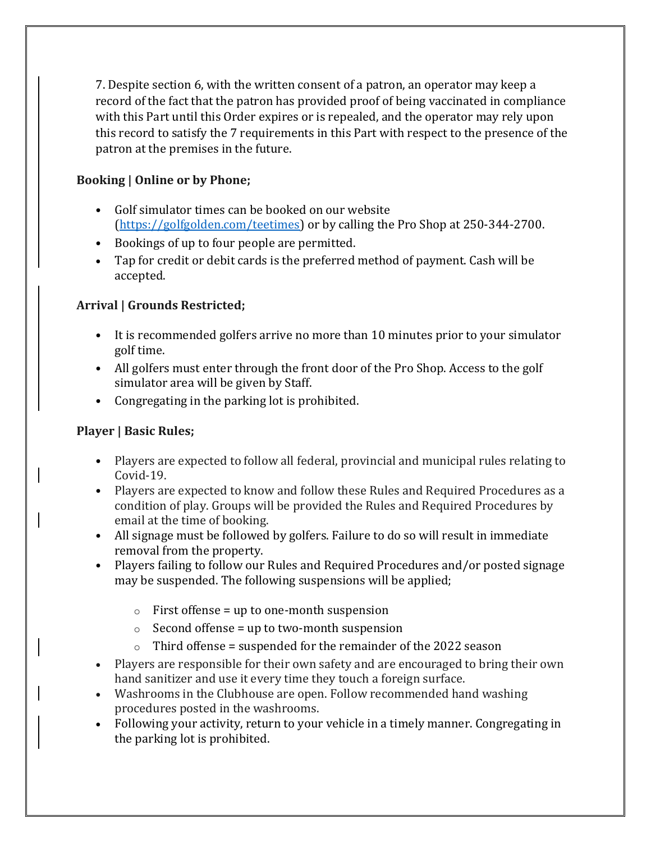7. Despite section 6, with the written consent of a patron, an operator may keep a record of the fact that the patron has provided proof of being vaccinated in compliance with this Part until this Order expires or is repealed, and the operator may rely upon this record to satisfy the 7 requirements in this Part with respect to the presence of the patron at the premises in the future.

## **Booking | Online or by Phone;**

- Golf simulator times can be booked on our website [\(https://golfgolden.com/teetimes\)](https://golfgolden.com/teetimes) or by calling the Pro Shop at 250-344-2700.
- Bookings of up to four people are permitted.
- Tap for credit or debit cards is the preferred method of payment. Cash will be accepted.

# **Arrival | Grounds Restricted;**

- It is recommended golfers arrive no more than 10 minutes prior to your simulator golf time.
- All golfers must enter through the front door of the Pro Shop. Access to the golf simulator area will be given by Staff.
- Congregating in the parking lot is prohibited.

# **Player | Basic Rules;**

- Players are expected to follow all federal, provincial and municipal rules relating to Covid-19.
- Players are expected to know and follow these Rules and Required Procedures as a condition of play. Groups will be provided the Rules and Required Procedures by email at the time of booking.
- All signage must be followed by golfers. Failure to do so will result in immediate removal from the property.
- Players failing to follow our Rules and Required Procedures and/or posted signage may be suspended. The following suspensions will be applied;
	- $\circ$  First offense = up to one-month suspension
	- $\circ$  Second offense = up to two-month suspension
	- $\circ$  Third offense = suspended for the remainder of the 2022 season
- Players are responsible for their own safety and are encouraged to bring their own hand sanitizer and use it every time they touch a foreign surface.
- Washrooms in the Clubhouse are open. Follow recommended hand washing procedures posted in the washrooms.
- Following your activity, return to your vehicle in a timely manner. Congregating in the parking lot is prohibited.